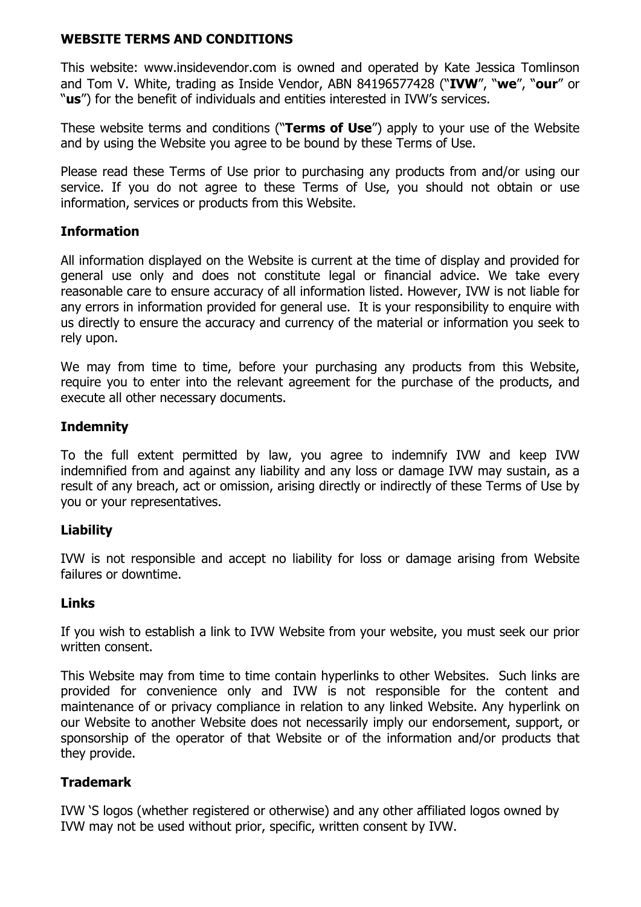## **WEBSITE TERMS AND CONDITIONS**

This website: www.insidevendor.com is owned and operated by Kate Jessica Tomlinson and Tom V. White, trading as Inside Vendor, ABN 84196577428 ("**IVW**", "**we**", "**our**" or "**us**") for the benefit of individuals and entities interested in IVW's services.

These website terms and conditions ("**Terms of Use**") apply to your use of the Website and by using the Website you agree to be bound by these Terms of Use.

Please read these Terms of Use prior to purchasing any products from and/or using our service. If you do not agree to these Terms of Use, you should not obtain or use information, services or products from this Website.

## **Information**

All information displayed on the Website is current at the time of display and provided for general use only and does not constitute legal or financial advice. We take every reasonable care to ensure accuracy of all information listed. However, IVW is not liable for any errors in information provided for general use. It is your responsibility to enquire with us directly to ensure the accuracy and currency of the material or information you seek to rely upon.

We may from time to time, before your purchasing any products from this Website, require you to enter into the relevant agreement for the purchase of the products, and execute all other necessary documents.

#### **Indemnity**

To the full extent permitted by law, you agree to indemnify IVW and keep IVW indemnified from and against any liability and any loss or damage IVW may sustain, as a result of any breach, act or omission, arising directly or indirectly of these Terms of Use by you or your representatives.

#### **Liability**

IVW is not responsible and accept no liability for loss or damage arising from Website failures or downtime.

#### **Links**

If you wish to establish a link to IVW Website from your website, you must seek our prior written consent.

This Website may from time to time contain hyperlinks to other Websites. Such links are provided for convenience only and IVW is not responsible for the content and maintenance of or privacy compliance in relation to any linked Website. Any hyperlink on our Website to another Website does not necessarily imply our endorsement, support, or sponsorship of the operator of that Website or of the information and/or products that they provide.

#### **Trademark**

IVW 'S logos (whether registered or otherwise) and any other affiliated logos owned by IVW may not be used without prior, specific, written consent by IVW.